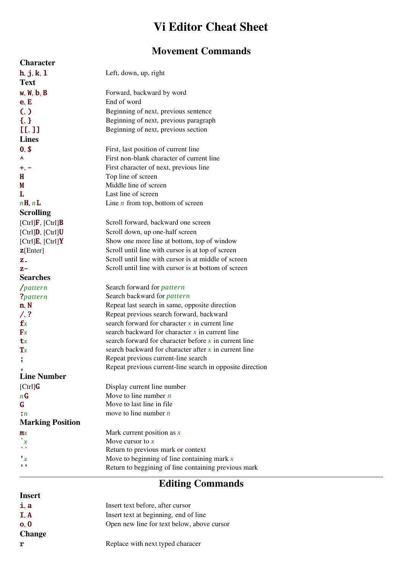### Vi Editor Cheat Sheet

### Movement Commands

| <b>Character</b>                      |                                                           |
|---------------------------------------|-----------------------------------------------------------|
| h, j, k, l                            | Left, down, up, right                                     |
| <b>Text</b>                           |                                                           |
| w, W, b, B                            | Forward, backward by word                                 |
| e, E                                  | End of word                                               |
| (,)                                   | Beginning of next, previous sentence                      |
| ${5,3}$                               | Beginning of next, previous paragraph                     |
| [L, 1]                                | Beginning of next, previous section                       |
| <b>Lines</b>                          |                                                           |
| 0, \$                                 | First, last position of current line                      |
| ٨                                     | First non-blank character of current line                 |
| $+$ , $-$                             | First character of next, previous line                    |
| Н                                     | Top line of screen                                        |
| M                                     | Middle line of screen                                     |
| L                                     | Last line of screen                                       |
| nH, nL                                | Line $n$ from top, bottom of screen                       |
| <b>Scrolling</b>                      |                                                           |
| $[Ctrl]$ <b>F</b> , $[Ctrl]$ <b>B</b> | Scroll forward, backward one screen                       |
| $[Ctrl]$ D, $[Ctrl]$ U                | Scroll down, up one-half screen                           |
| $[Ctrl]$ <b>E</b> , $[Ctrl]$ <b>Y</b> | Show one more line at bottom, top of window               |
| $\mathbf{Z}$ [Enter]                  | Scroll until line with cursor is at top of screen         |
| z.                                    | Scroll until line with cursor is at middle of screen      |
| $Z -$                                 | Scroll until line with cursor is at bottom of screen      |
| <b>Searches</b>                       |                                                           |
| $/$ pattern                           | Search forward for <i>pattern</i>                         |
| ?pattern                              | Search backward for <i>pattern</i>                        |
| n, N                                  | Repeat last search in same, opposite direction            |
| $/$ , ?                               | Repeat previous search forward, backward                  |
| $\mathbf{f}$ x                        | search forward for character $x$ in current line          |
| $\mathbf{F}$ x                        | search backward for character $x$ in current line         |
| ${\bf t}x$                            | search forward for character before $x$ in current line   |
| $\mathbf{T} x$                        | search backward for character after $x$ in current line   |
| ,                                     | Repeat previous current-line search                       |
|                                       | Repeat previous current-line search in opposite direction |
| <b>Line Number</b>                    |                                                           |
| [Ctrl]                                | Display current line number                               |
| $n$ <b>G</b>                          | Move to line number $n$                                   |
| G                                     | Move to last line in file                                 |
| $\cdot$ n                             | move to line number $n$                                   |
| <b>Marking Position</b>               |                                                           |
| $\mathbf{m}$ x                        | Mark current position as $x$                              |
| $\boldsymbol{x}$                      | Move cursor to $x$                                        |
|                                       | Return to previous mark or context                        |
| $\mathbf{r}_x$                        | Move to beginning of line containing mark $x$             |
| $\mathbf{r}$                          | Return to beggining of line containing previous mark      |

# Editing Commands

#### Insert

| i, a                     | Insert text before, after cursor           |
|--------------------------|--------------------------------------------|
| $\mathbf{I}, \mathbf{A}$ | Insert text at beginning, end of line      |
| o, 0                     | Open new line for text below, above cursor |
| <b>Change</b>            |                                            |
| r                        | Replace with next typed characer           |